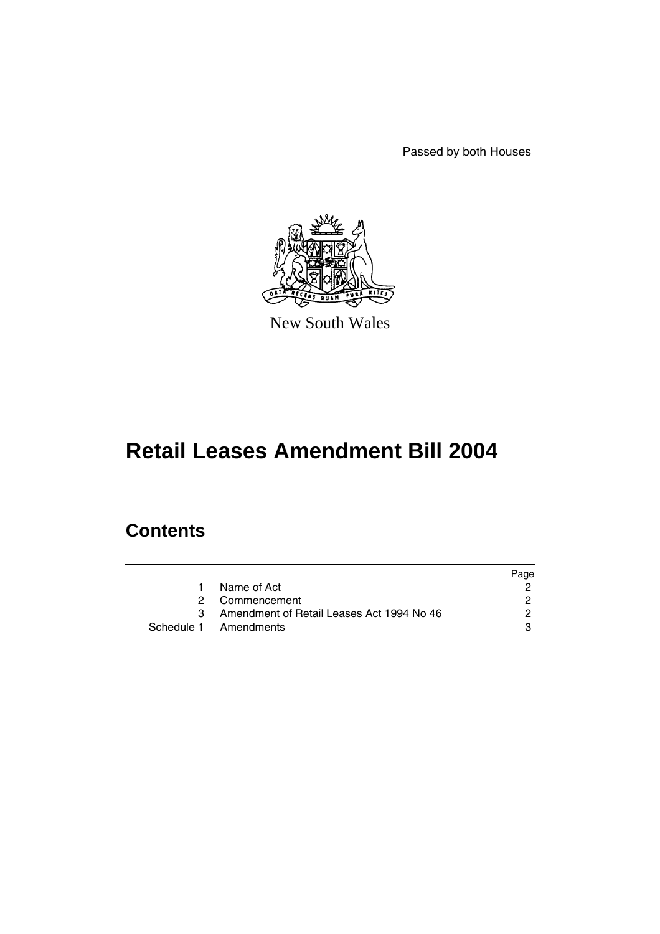Passed by both Houses



New South Wales

# **Retail Leases Amendment Bill 2004**

## **Contents**

|             |                                           | Page |
|-------------|-------------------------------------------|------|
| $\mathbf 1$ | Name of Act                               |      |
|             | 2 Commencement                            | 2    |
|             | Amendment of Retail Leases Act 1994 No 46 | 2    |
|             | Schedule 1 Amendments                     | з    |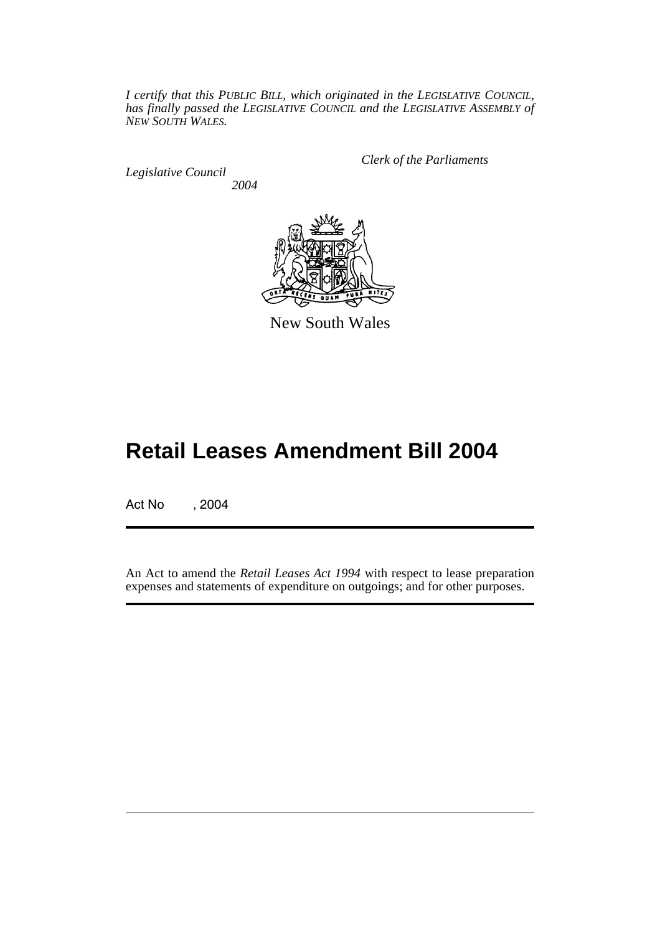*I certify that this PUBLIC BILL, which originated in the LEGISLATIVE COUNCIL, has finally passed the LEGISLATIVE COUNCIL and the LEGISLATIVE ASSEMBLY of NEW SOUTH WALES.*

*Legislative Council 2004* *Clerk of the Parliaments*



New South Wales

## **Retail Leases Amendment Bill 2004**

Act No , 2004

An Act to amend the *Retail Leases Act 1994* with respect to lease preparation expenses and statements of expenditure on outgoings; and for other purposes.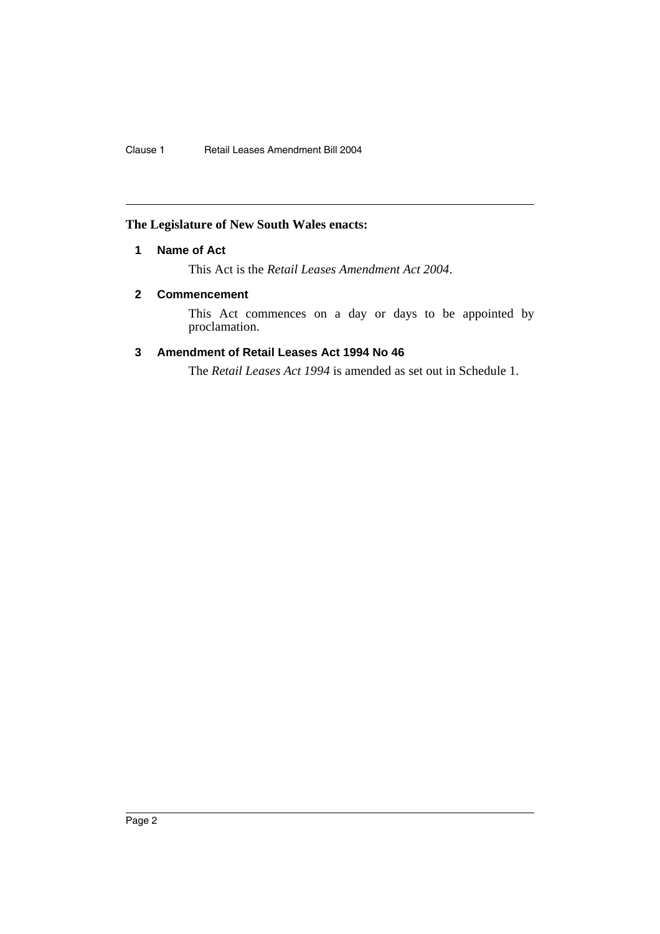## **The Legislature of New South Wales enacts:**

### **1 Name of Act**

This Act is the *Retail Leases Amendment Act 2004*.

#### **2 Commencement**

This Act commences on a day or days to be appointed by proclamation.

## **3 Amendment of Retail Leases Act 1994 No 46**

The *Retail Leases Act 1994* is amended as set out in Schedule 1.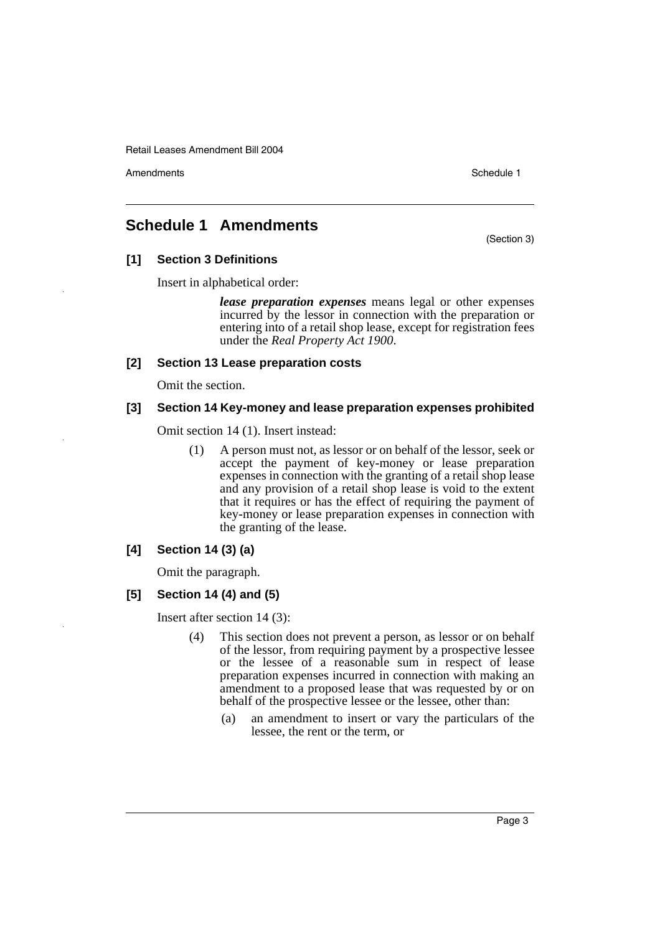Amendments **Amendments** Schedule 1

(Section 3)

## **Schedule 1 Amendments**

**[1] Section 3 Definitions**

Insert in alphabetical order:

*lease preparation expenses* means legal or other expenses incurred by the lessor in connection with the preparation or entering into of a retail shop lease, except for registration fees under the *Real Property Act 1900*.

#### **[2] Section 13 Lease preparation costs**

Omit the section.

#### **[3] Section 14 Key-money and lease preparation expenses prohibited**

Omit section 14 (1). Insert instead:

(1) A person must not, as lessor or on behalf of the lessor, seek or accept the payment of key-money or lease preparation expenses in connection with the granting of a retail shop lease and any provision of a retail shop lease is void to the extent that it requires or has the effect of requiring the payment of key-money or lease preparation expenses in connection with the granting of the lease.

#### **[4] Section 14 (3) (a)**

Omit the paragraph.

#### **[5] Section 14 (4) and (5)**

Insert after section 14 (3):

- (4) This section does not prevent a person, as lessor or on behalf of the lessor, from requiring payment by a prospective lessee or the lessee of a reasonable sum in respect of lease preparation expenses incurred in connection with making an amendment to a proposed lease that was requested by or on behalf of the prospective lessee or the lessee, other than:
	- (a) an amendment to insert or vary the particulars of the lessee, the rent or the term, or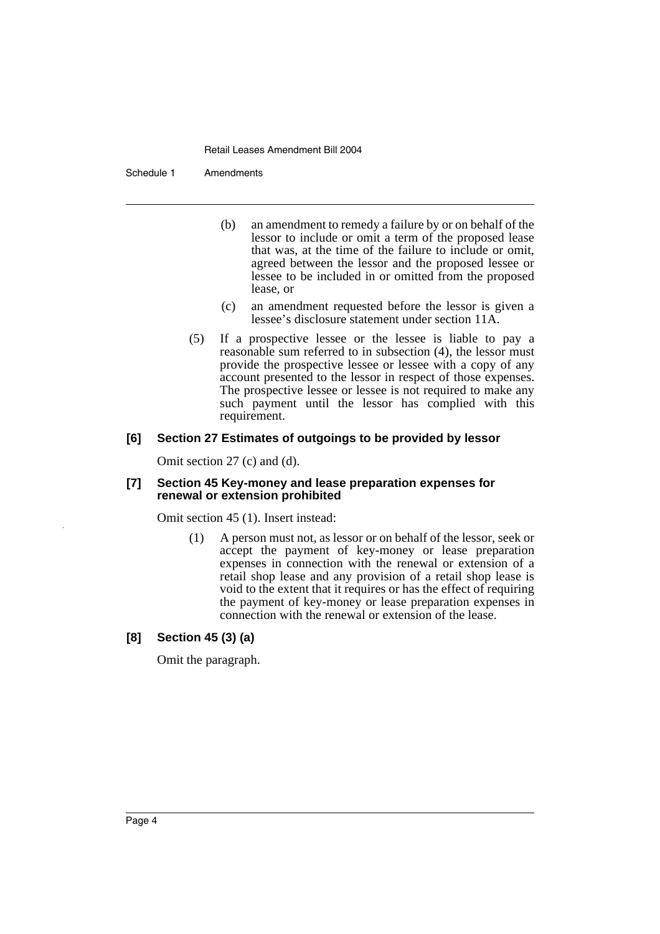Schedule 1 Amendments

- (b) an amendment to remedy a failure by or on behalf of the lessor to include or omit a term of the proposed lease that was, at the time of the failure to include or omit, agreed between the lessor and the proposed lessee or lessee to be included in or omitted from the proposed lease, or
- (c) an amendment requested before the lessor is given a lessee's disclosure statement under section 11A.
- (5) If a prospective lessee or the lessee is liable to pay a reasonable sum referred to in subsection (4), the lessor must provide the prospective lessee or lessee with a copy of any account presented to the lessor in respect of those expenses. The prospective lessee or lessee is not required to make any such payment until the lessor has complied with this requirement.

#### **[6] Section 27 Estimates of outgoings to be provided by lessor**

Omit section 27 (c) and (d).

#### **[7] Section 45 Key-money and lease preparation expenses for renewal or extension prohibited**

Omit section 45 (1). Insert instead:

(1) A person must not, as lessor or on behalf of the lessor, seek or accept the payment of key-money or lease preparation expenses in connection with the renewal or extension of a retail shop lease and any provision of a retail shop lease is void to the extent that it requires or has the effect of requiring the payment of key-money or lease preparation expenses in connection with the renewal or extension of the lease.

#### **[8] Section 45 (3) (a)**

Omit the paragraph.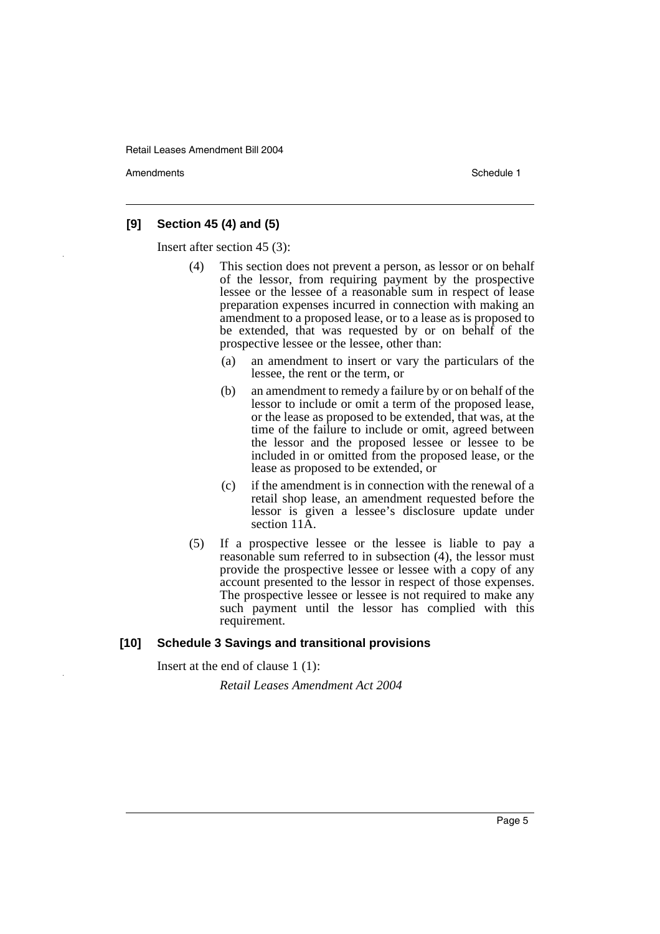Amendments **Amendments** Schedule 1

#### **[9] Section 45 (4) and (5)**

Insert after section 45 (3):

- (4) This section does not prevent a person, as lessor or on behalf of the lessor, from requiring payment by the prospective lessee or the lessee of a reasonable sum in respect of lease preparation expenses incurred in connection with making an amendment to a proposed lease, or to a lease as is proposed to be extended, that was requested by or on behalf of the prospective lessee or the lessee, other than:
	- (a) an amendment to insert or vary the particulars of the lessee, the rent or the term, or
	- (b) an amendment to remedy a failure by or on behalf of the lessor to include or omit a term of the proposed lease, or the lease as proposed to be extended, that was, at the time of the failure to include or omit, agreed between the lessor and the proposed lessee or lessee to be included in or omitted from the proposed lease, or the lease as proposed to be extended, or
	- (c) if the amendment is in connection with the renewal of a retail shop lease, an amendment requested before the lessor is given a lessee's disclosure update under section 11 $\tilde{A}$ .
- (5) If a prospective lessee or the lessee is liable to pay a reasonable sum referred to in subsection (4), the lessor must provide the prospective lessee or lessee with a copy of any account presented to the lessor in respect of those expenses. The prospective lessee or lessee is not required to make any such payment until the lessor has complied with this requirement.

#### **[10] Schedule 3 Savings and transitional provisions**

Insert at the end of clause 1 (1):

*Retail Leases Amendment Act 2004*